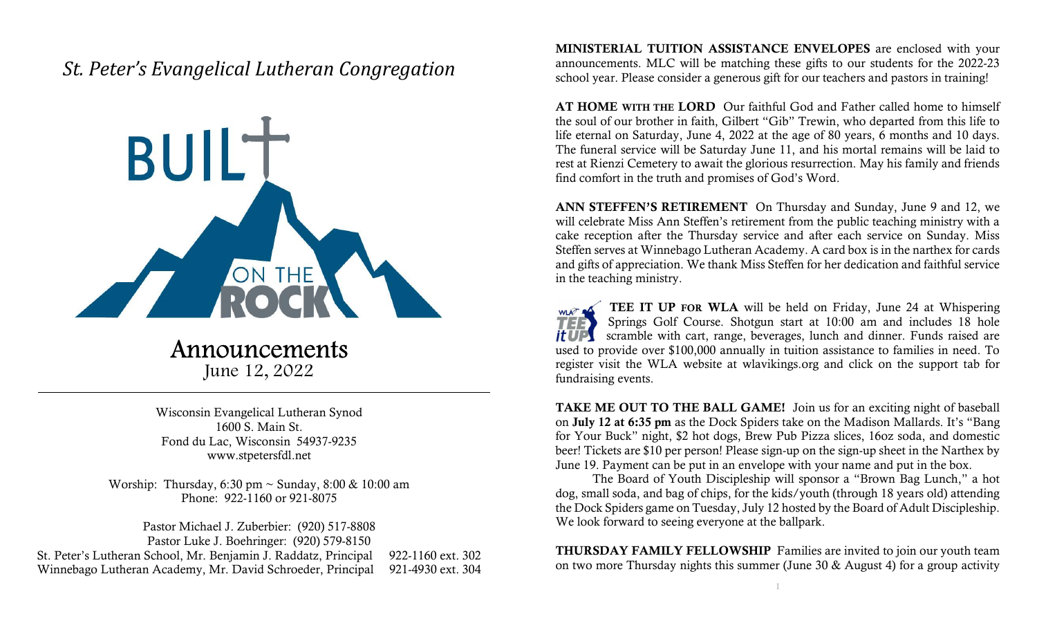## St. Peter's Evangelical Lutheran Congregation



Announcements

June 12, 2022

Wisconsin Evangelical Lutheran Synod 1600 S. Main St. Fond du Lac, Wisconsin 54937-9235 www.stpetersfdl.net

Worship: Thursday, 6:30 pm ~ Sunday, 8:00 & 10:00 am Phone: 922-1160 or 921-8075

Pastor Michael J. Zuberbier: (920) 517-8808 Pastor Luke J. Boehringer: (920) 579-8150 St. Peter's Lutheran School, Mr. Benjamin J. Raddatz, Principal 922-1160 ext. 302 Winnebago Lutheran Academy, Mr. David Schroeder, Principal 921-4930 ext. 304 MINISTERIAL TUITION ASSISTANCE ENVELOPES are enclosed with your announcements. MLC will be matching these gifts to our students for the 2022-23 school year. Please consider a generous gift for our teachers and pastors in training!

AT HOME WITH THE LORD Our faithful God and Father called home to himself the soul of our brother in faith, Gilbert "Gib" Trewin, who departed from this life to life eternal on Saturday, June 4, 2022 at the age of 80 years, 6 months and 10 days. The funeral service will be Saturday June 11, and his mortal remains will be laid to rest at Rienzi Cemetery to await the glorious resurrection. May his family and friends find comfort in the truth and promises of God's Word.

ANN STEFFEN'S RETIREMENT On Thursday and Sunday, June 9 and 12, we will celebrate Miss Ann Steffen's retirement from the public teaching ministry with a cake reception after the Thursday service and after each service on Sunday. Miss Steffen serves at Winnebago Lutheran Academy. A card box is in the narthex for cards and gifts of appreciation. We thank Miss Steffen for her dedication and faithful service in the teaching ministry.

TEE IT UP FOR WLA will be held on Friday, June 24 at Whispering WLAT OF Springs Golf Course. Shotgun start at 10:00 am and includes 18 hole scramble with cart, range, beverages, lunch and dinner. Funds raised are it UPS used to provide over \$100,000 annually in tuition assistance to families in need. To register visit the WLA website at wlavikings.org and click on the support tab for fundraising events.

TAKE ME OUT TO THE BALL GAME! Join us for an exciting night of baseball on July 12 at 6:35 pm as the Dock Spiders take on the Madison Mallards. It's "Bang for Your Buck" night, \$2 hot dogs, Brew Pub Pizza slices, 16oz soda, and domestic beer! Tickets are \$10 per person! Please sign-up on the sign-up sheet in the Narthex by June 19. Payment can be put in an envelope with your name and put in the box.

 The Board of Youth Discipleship will sponsor a "Brown Bag Lunch," a hot dog, small soda, and bag of chips, for the kids/youth (through 18 years old) attending the Dock Spiders game on Tuesday, July 12 hosted by the Board of Adult Discipleship. We look forward to seeing everyone at the ballpark.

THURSDAY FAMILY FELLOWSHIP Families are invited to join our youth team on two more Thursday nights this summer (June 30 & August 4) for a group activity